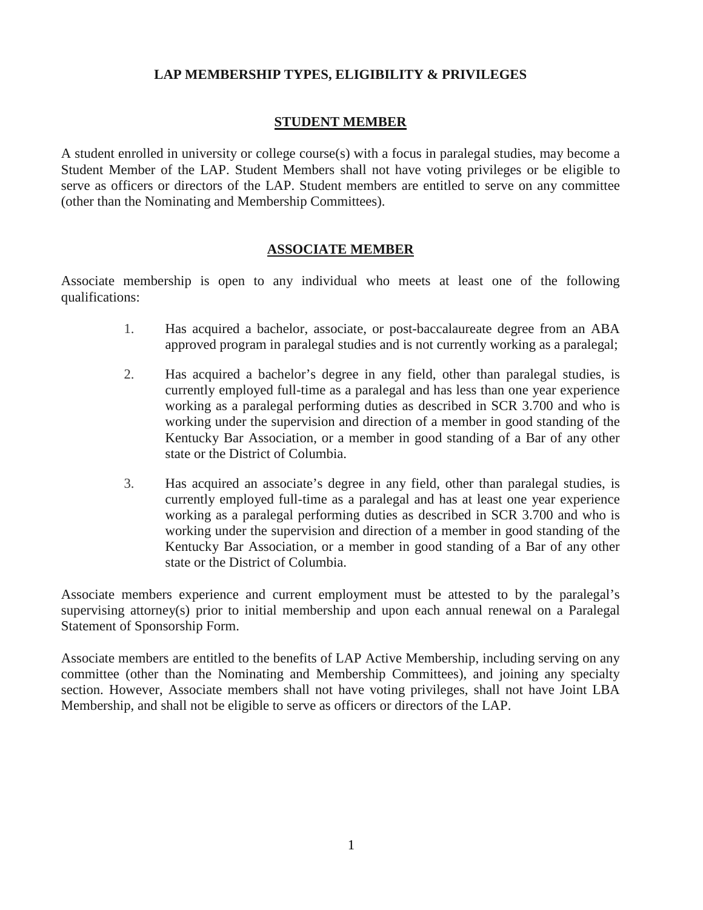# **LAP MEMBERSHIP TYPES, ELIGIBILITY & PRIVILEGES**

# **STUDENT MEMBER**

A student enrolled in university or college course(s) with a focus in paralegal studies, may become a Student Member of the LAP. Student Members shall not have voting privileges or be eligible to serve as officers or directors of the LAP. Student members are entitled to serve on any committee (other than the Nominating and Membership Committees).

# **ASSOCIATE MEMBER**

Associate membership is open to any individual who meets at least one of the following qualifications:

- 1. Has acquired a bachelor, associate, or post-baccalaureate degree from an ABA approved program in paralegal studies and is not currently working as a paralegal;
- 2. Has acquired a bachelor's degree in any field, other than paralegal studies, is currently employed full-time as a paralegal and has less than one year experience working as a paralegal performing duties as described in SCR 3.700 and who is working under the supervision and direction of a member in good standing of the Kentucky Bar Association, or a member in good standing of a Bar of any other state or the District of Columbia.
- 3. Has acquired an associate's degree in any field, other than paralegal studies, is currently employed full-time as a paralegal and has at least one year experience working as a paralegal performing duties as described in SCR 3.700 and who is working under the supervision and direction of a member in good standing of the Kentucky Bar Association, or a member in good standing of a Bar of any other state or the District of Columbia.

Associate members experience and current employment must be attested to by the paralegal's supervising attorney(s) prior to initial membership and upon each annual renewal on a Paralegal Statement of Sponsorship Form.

Associate members are entitled to the benefits of LAP Active Membership, including serving on any committee (other than the Nominating and Membership Committees), and joining any specialty section. However, Associate members shall not have voting privileges, shall not have Joint LBA Membership, and shall not be eligible to serve as officers or directors of the LAP.